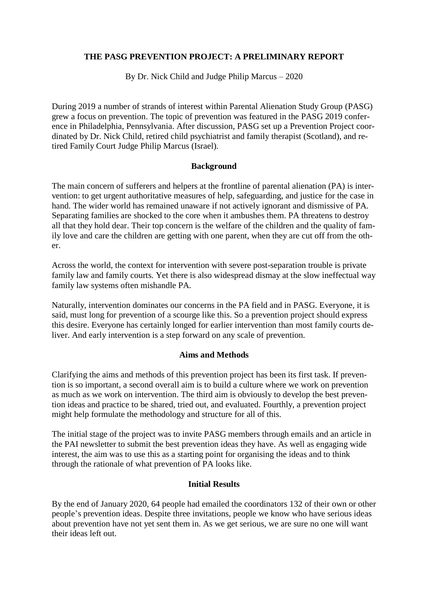# **THE PASG PREVENTION PROJECT: A PRELIMINARY REPORT**

By Dr. Nick Child and Judge Philip Marcus – 2020

During 2019 a number of strands of interest within Parental Alienation Study Group (PASG) grew a focus on prevention. The topic of prevention was featured in the PASG 2019 conference in Philadelphia, Pennsylvania. After discussion, PASG set up a Prevention Project coordinated by Dr. Nick Child, retired child psychiatrist and family therapist (Scotland), and retired Family Court Judge Philip Marcus (Israel).

#### **Background**

The main concern of sufferers and helpers at the frontline of parental alienation (PA) is intervention: to get urgent authoritative measures of help, safeguarding, and justice for the case in hand. The wider world has remained unaware if not actively ignorant and dismissive of PA. Separating families are shocked to the core when it ambushes them. PA threatens to destroy all that they hold dear. Their top concern is the welfare of the children and the quality of family love and care the children are getting with one parent, when they are cut off from the other.

Across the world, the context for intervention with severe post-separation trouble is private family law and family courts. Yet there is also widespread dismay at the slow ineffectual way family law systems often mishandle PA.

Naturally, intervention dominates our concerns in the PA field and in PASG. Everyone, it is said, must long for prevention of a scourge like this. So a prevention project should express this desire. Everyone has certainly longed for earlier intervention than most family courts deliver. And early intervention is a step forward on any scale of prevention.

#### **Aims and Methods**

Clarifying the aims and methods of this prevention project has been its first task. If prevention is so important, a second overall aim is to build a culture where we work on prevention as much as we work on intervention. The third aim is obviously to develop the best prevention ideas and practice to be shared, tried out, and evaluated. Fourthly, a prevention project might help formulate the methodology and structure for all of this.

The initial stage of the project was to invite PASG members through emails and an article in the PAI newsletter to submit the best prevention ideas they have. As well as engaging wide interest, the aim was to use this as a starting point for organising the ideas and to think through the rationale of what prevention of PA looks like.

# **Initial Results**

By the end of January 2020, 64 people had emailed the coordinators 132 of their own or other people's prevention ideas. Despite three invitations, people we know who have serious ideas about prevention have not yet sent them in. As we get serious, we are sure no one will want their ideas left out.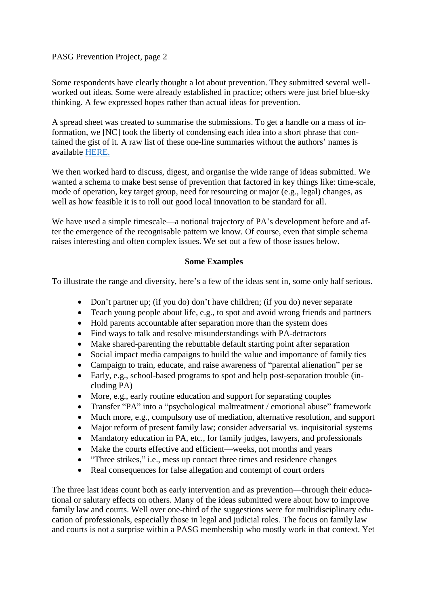Some respondents have clearly thought a lot about prevention. They submitted several wellworked out ideas. Some were already established in practice; others were just brief blue-sky thinking. A few expressed hopes rather than actual ideas for prevention.

A spread sheet was created to summarise the submissions. To get a handle on a mass of information, we [NC] took the liberty of condensing each idea into a short phrase that contained the gist of it. A raw list of these one-line summaries without the authors' names is available [HERE.](https://www.dropbox.com/s/enqcm57je3jhc7d/PASGPreventionProjectList132Ideas.pdf?dl=0%5d)

We then worked hard to discuss, digest, and organise the wide range of ideas submitted. We wanted a schema to make best sense of prevention that factored in key things like: time-scale, mode of operation, key target group, need for resourcing or major (e.g., legal) changes, as well as how feasible it is to roll out good local innovation to be standard for all.

We have used a simple timescale—a notional trajectory of PA's development before and after the emergence of the recognisable pattern we know. Of course, even that simple schema raises interesting and often complex issues. We set out a few of those issues below.

### **Some Examples**

To illustrate the range and diversity, here's a few of the ideas sent in, some only half serious.

- Don't partner up; (if you do) don't have children; (if you do) never separate
- Teach young people about life, e.g., to spot and avoid wrong friends and partners
- Hold parents accountable after separation more than the system does
- Find ways to talk and resolve misunderstandings with PA-detractors
- Make shared-parenting the rebuttable default starting point after separation
- Social impact media campaigns to build the value and importance of family ties
- Campaign to train, educate, and raise awareness of "parental alienation" per se
- Early, e.g., school-based programs to spot and help post-separation trouble (including PA)
- More, e.g., early routine education and support for separating couples
- Transfer "PA" into a "psychological maltreatment / emotional abuse" framework
- Much more, e.g., compulsory use of mediation, alternative resolution, and support
- Major reform of present family law; consider adversarial vs. inquisitorial systems
- Mandatory education in PA, etc., for family judges, lawyers, and professionals
- Make the courts effective and efficient—weeks, not months and years
- "Three strikes," i.e., mess up contact three times and residence changes
- Real consequences for false allegation and contempt of court orders

The three last ideas count both as early intervention and as prevention—through their educational or salutary effects on others. Many of the ideas submitted were about how to improve family law and courts. Well over one-third of the suggestions were for multidisciplinary education of professionals, especially those in legal and judicial roles. The focus on family law and courts is not a surprise within a PASG membership who mostly work in that context. Yet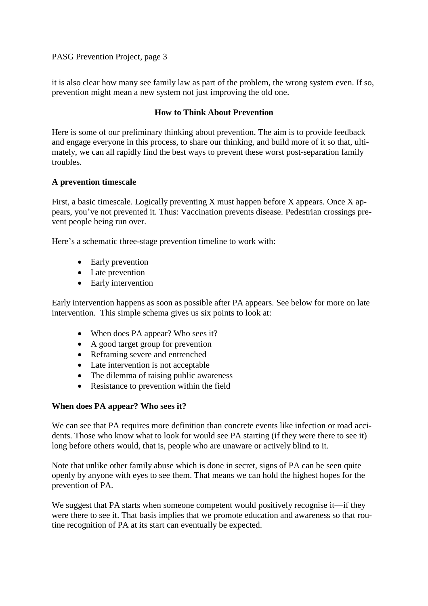it is also clear how many see family law as part of the problem, the wrong system even. If so, prevention might mean a new system not just improving the old one.

### **How to Think About Prevention**

Here is some of our preliminary thinking about prevention. The aim is to provide feedback and engage everyone in this process, to share our thinking, and build more of it so that, ultimately, we can all rapidly find the best ways to prevent these worst post-separation family troubles.

### **A prevention timescale**

First, a basic timescale. Logically preventing X must happen before X appears. Once X appears, you've not prevented it. Thus: Vaccination prevents disease. Pedestrian crossings prevent people being run over.

Here's a schematic three-stage prevention timeline to work with:

- Early prevention
- Late prevention
- Early intervention

Early intervention happens as soon as possible after PA appears. See below for more on late intervention. This simple schema gives us six points to look at:

- When does PA appear? Who sees it?
- A good target group for prevention
- Reframing severe and entrenched
- Late intervention is not acceptable
- The dilemma of raising public awareness
- Resistance to prevention within the field

#### **When does PA appear? Who sees it?**

We can see that PA requires more definition than concrete events like infection or road accidents. Those who know what to look for would see PA starting (if they were there to see it) long before others would, that is, people who are unaware or actively blind to it.

Note that unlike other family abuse which is done in secret, signs of PA can be seen quite openly by anyone with eyes to see them. That means we can hold the highest hopes for the prevention of PA.

We suggest that PA starts when someone competent would positively recognise it—if they were there to see it. That basis implies that we promote education and awareness so that routine recognition of PA at its start can eventually be expected.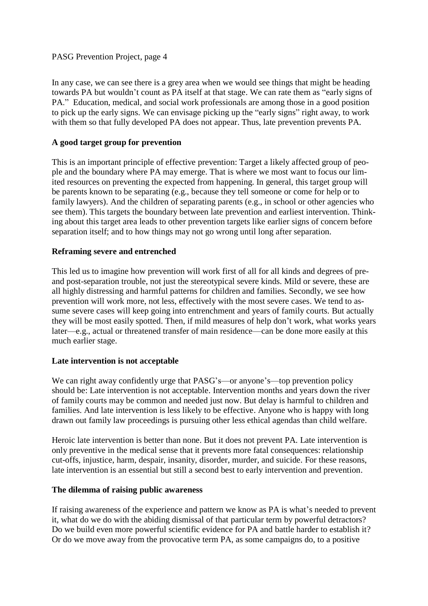In any case, we can see there is a grey area when we would see things that might be heading towards PA but wouldn't count as PA itself at that stage. We can rate them as "early signs of PA." Education, medical, and social work professionals are among those in a good position to pick up the early signs. We can envisage picking up the "early signs" right away, to work with them so that fully developed PA does not appear. Thus, late prevention prevents PA.

# **A good target group for prevention**

This is an important principle of effective prevention: Target a likely affected group of people and the boundary where PA may emerge. That is where we most want to focus our limited resources on preventing the expected from happening. In general, this target group will be parents known to be separating (e.g., because they tell someone or come for help or to family lawyers). And the children of separating parents (e.g., in school or other agencies who see them). This targets the boundary between late prevention and earliest intervention. Thinking about this target area leads to other prevention targets like earlier signs of concern before separation itself; and to how things may not go wrong until long after separation.

# **Reframing severe and entrenched**

This led us to imagine how prevention will work first of all for all kinds and degrees of preand post-separation trouble, not just the stereotypical severe kinds. Mild or severe, these are all highly distressing and harmful patterns for children and families. Secondly, we see how prevention will work more, not less, effectively with the most severe cases. We tend to assume severe cases will keep going into entrenchment and years of family courts. But actually they will be most easily spotted. Then, if mild measures of help don't work, what works years later—e.g., actual or threatened transfer of main residence—can be done more easily at this much earlier stage.

# **Late intervention is not acceptable**

We can right away confidently urge that PASG's—or anyone's—top prevention policy should be: Late intervention is not acceptable. Intervention months and years down the river of family courts may be common and needed just now. But delay is harmful to children and families. And late intervention is less likely to be effective. Anyone who is happy with long drawn out family law proceedings is pursuing other less ethical agendas than child welfare.

Heroic late intervention is better than none. But it does not prevent PA. Late intervention is only preventive in the medical sense that it prevents more fatal consequences: relationship cut-offs, injustice, harm, despair, insanity, disorder, murder, and suicide. For these reasons, late intervention is an essential but still a second best to early intervention and prevention.

#### **The dilemma of raising public awareness**

If raising awareness of the experience and pattern we know as PA is what's needed to prevent it, what do we do with the abiding dismissal of that particular term by powerful detractors? Do we build even more powerful scientific evidence for PA and battle harder to establish it? Or do we move away from the provocative term PA, as some campaigns do, to a positive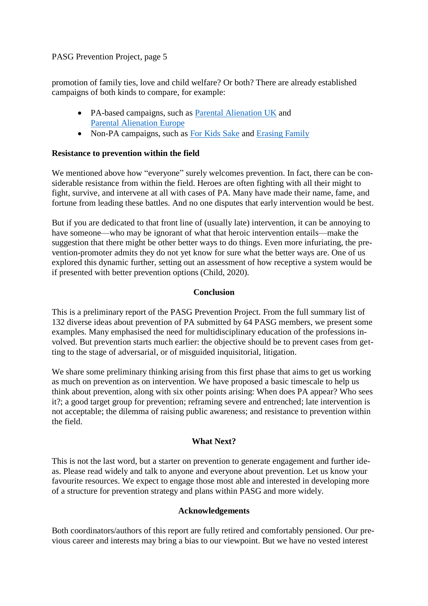promotion of family ties, love and child welfare? Or both? There are already established campaigns of both kinds to compare, for example:

- PA-based campaigns, such as [Parental Alienation](https://www.facebook.com/PAlienationuk/) UK and [Parental Alienation](https://parentalalienation.eu/) Europe
- Non-PA campaigns, such as [For Kids Sake](http://www.forkidssake.org.au/) and [Erasing Family](https://erasingfamily.org/)

# **Resistance to prevention within the field**

We mentioned above how "everyone" surely welcomes prevention. In fact, there can be considerable resistance from within the field. Heroes are often fighting with all their might to fight, survive, and intervene at all with cases of PA. Many have made their name, fame, and fortune from leading these battles. And no one disputes that early intervention would be best.

But if you are dedicated to that front line of (usually late) intervention, it can be annoying to have someone—who may be ignorant of what that heroic intervention entails—make the suggestion that there might be other better ways to do things. Even more infuriating, the prevention-promoter admits they do not yet know for sure what the better ways are. One of us explored this dynamic further, setting out an assessment of how receptive a system would be if presented with better prevention options (Child, 2020).

# **Conclusion**

This is a preliminary report of the PASG Prevention Project. From the full summary list of 132 diverse ideas about prevention of PA submitted by 64 PASG members, we present some examples. Many emphasised the need for multidisciplinary education of the professions involved. But prevention starts much earlier: the objective should be to prevent cases from getting to the stage of adversarial, or of misguided inquisitorial, litigation.

We share some preliminary thinking arising from this first phase that aims to get us working as much on prevention as on intervention. We have proposed a basic timescale to help us think about prevention, along with six other points arising: When does PA appear? Who sees it?; a good target group for prevention; reframing severe and entrenched; late intervention is not acceptable; the dilemma of raising public awareness; and resistance to prevention within the field.

# **What Next?**

This is not the last word, but a starter on prevention to generate engagement and further ideas. Please read widely and talk to anyone and everyone about prevention. Let us know your favourite resources. We expect to engage those most able and interested in developing more of a structure for prevention strategy and plans within PASG and more widely.

# **Acknowledgements**

Both coordinators/authors of this report are fully retired and comfortably pensioned. Our previous career and interests may bring a bias to our viewpoint. But we have no vested interest